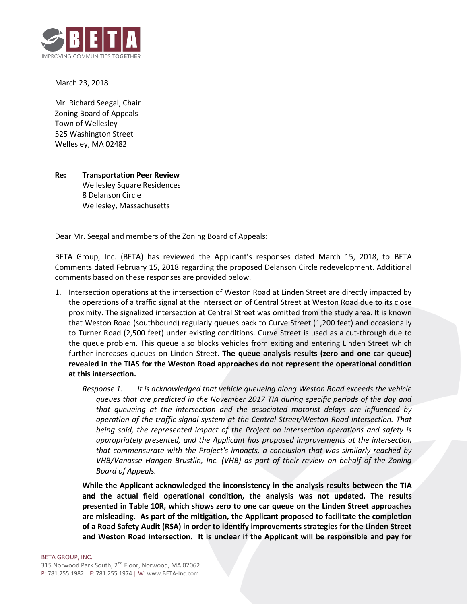

March 23, 2018

Mr. Richard Seegal, Chair Zoning Board of Appeals Town of Wellesley 525 Washington Street Wellesley, MA 02482

## **Re: Transportation Peer Review**

Wellesley Square Residences 8 Delanson Circle Wellesley, Massachusetts

Dear Mr. Seegal and members of the Zoning Board of Appeals:

BETA Group, Inc. (BETA) has reviewed the Applicant's responses dated March 15, 2018, to BETA Comments dated February 15, 2018 regarding the proposed Delanson Circle redevelopment. Additional comments based on these responses are provided below.

- 1. Intersection operations at the intersection of Weston Road at Linden Street are directly impacted by the operations of a traffic signal at the intersection of Central Street at Weston Road due to its close proximity. The signalized intersection at Central Street was omitted from the study area. It is known that Weston Road (southbound) regularly queues back to Curve Street (1,200 feet) and occasionally to Turner Road (2,500 feet) under existing conditions. Curve Street is used as a cut-through due to the queue problem. This queue also blocks vehicles from exiting and entering Linden Street which further increases queues on Linden Street. **The queue analysis results (zero and one car queue) revealed in the TIAS for the Weston Road approaches do not represent the operational condition at this intersection.**
	- *Response 1. It is acknowledged that vehicle queueing along Weston Road exceeds the vehicle queues that are predicted in the November 2017 TIA during specific periods of the day and that queueing at the intersection and the associated motorist delays are influenced by operation of the traffic signal system at the Central Street/Weston Road intersection. That being said, the represented impact of the Project on intersection operations and safety is appropriately presented, and the Applicant has proposed improvements at the intersection that commensurate with the Project's impacts, a conclusion that was similarly reached by VHB/Vanasse Hangen Brustlin, Inc. (VHB) as part of their review on behalf of the Zoning Board of Appeals.*

**While the Applicant acknowledged the inconsistency in the analysis results between the TIA and the actual field operational condition, the analysis was not updated. The results presented in Table 10R, which shows zero to one car queue on the Linden Street approaches are misleading. As part of the mitigation, the Applicant proposed to facilitate the completion of a Road Safety Audit (RSA) in order to identify improvements strategies for the Linden Street and Weston Road intersection. It is unclear if the Applicant will be responsible and pay for** 

BETA GROUP, INC.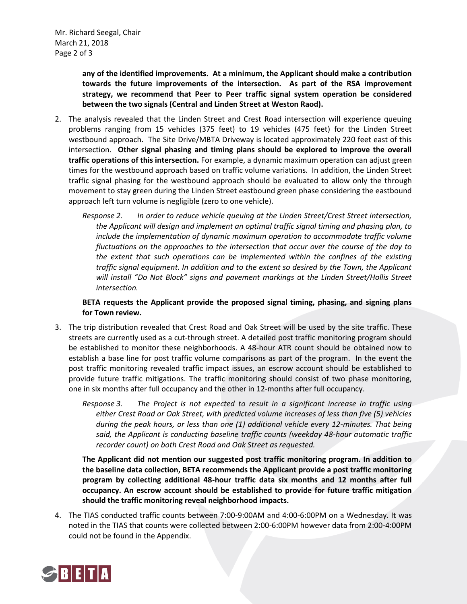**any of the identified improvements. At a minimum, the Applicant should make a contribution towards the future improvements of the intersection. As part of the RSA improvement strategy, we recommend that Peer to Peer traffic signal system operation be considered between the two signals (Central and Linden Street at Weston Raod).**

- 2. The analysis revealed that the Linden Street and Crest Road intersection will experience queuing problems ranging from 15 vehicles (375 feet) to 19 vehicles (475 feet) for the Linden Street westbound approach. The Site Drive/MBTA Driveway is located approximately 220 feet east of this intersection. **Other signal phasing and timing plans should be explored to improve the overall traffic operations of this intersection.** For example, a dynamic maximum operation can adjust green times for the westbound approach based on traffic volume variations. In addition, the Linden Street traffic signal phasing for the westbound approach should be evaluated to allow only the through movement to stay green during the Linden Street eastbound green phase considering the eastbound approach left turn volume is negligible (zero to one vehicle).
	- *Response 2. In order to reduce vehicle queuing at the Linden Street/Crest Street intersection, the Applicant will design and implement an optimal traffic signal timing and phasing plan, to include the implementation of dynamic maximum operation to accommodate traffic volume fluctuations on the approaches to the intersection that occur over the course of the day to the extent that such operations can be implemented within the confines of the existing traffic signal equipment. In addition and to the extent so desired by the Town, the Applicant will install "Do Not Block" signs and pavement markings at the Linden Street/Hollis Street intersection.*

**BETA requests the Applicant provide the proposed signal timing, phasing, and signing plans for Town review.**

- 3. The trip distribution revealed that Crest Road and Oak Street will be used by the site traffic. These streets are currently used as a cut-through street. A detailed post traffic monitoring program should be established to monitor these neighborhoods. A 48-hour ATR count should be obtained now to establish a base line for post traffic volume comparisons as part of the program. In the event the post traffic monitoring revealed traffic impact issues, an escrow account should be established to provide future traffic mitigations. The traffic monitoring should consist of two phase monitoring, one in six months after full occupancy and the other in 12-months after full occupancy.
	- *Response 3. The Project is not expected to result in a significant increase in traffic using either Crest Road or Oak Street, with predicted volume increases of less than five (5) vehicles during the peak hours, or less than one (1) additional vehicle every 12-minutes. That being said, the Applicant is conducting baseline traffic counts (weekday 48-hour automatic traffic recorder count) on both Crest Road and Oak Street as requested.*

**The Applicant did not mention our suggested post traffic monitoring program. In addition to the baseline data collection, BETA recommends the Applicant provide a post traffic monitoring program by collecting additional 48-hour traffic data six months and 12 months after full occupancy. An escrow account should be established to provide for future traffic mitigation should the traffic monitoring reveal neighborhood impacts.**

4. The TIAS conducted traffic counts between 7:00-9:00AM and 4:00-6:00PM on a Wednesday. It was noted in the TIAS that counts were collected between 2:00-6:00PM however data from 2:00-4:00PM could not be found in the Appendix.